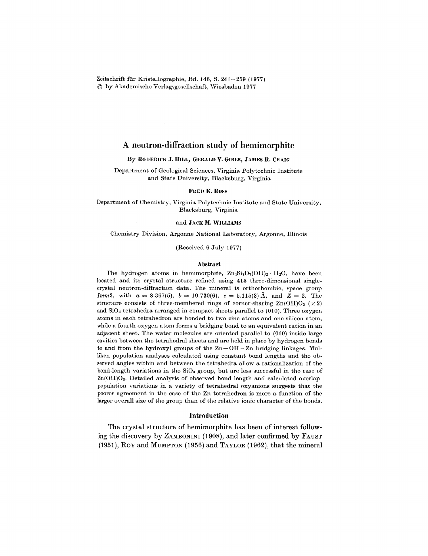Zeitschrift für Kristallographie, Bd.  $146$ , S.  $241-259$  (1977) (Q by Akademische Verlagsgesellschaft, Wiesbaden 1977

## A neutron-diffraction study of hemimorphite

### By RODERICK J. HILL, GERALD V. GIBBS, JAMES R. CRAIG

Department of Geological Sciences, Virginia Polytechnic Institute and State University, Blacksburg, Virginia

### FRED K. Ross

Department of Chemistry, Virginia Polytechnic Institute and State University, Blacksburg, Virginia

### and JACK M. WILLIAMS

Chemistry Division, Argonne National Laboratory, Argonne, Illinois

(Received 6 July 1977)

## Abstract

The hydrogen atoms in hemimorphite,  $\text{Zn}_4\text{Si}_2\text{O}_7(\text{OH})_2 \cdot \text{H}_2\text{O}$ , have been located and its crystal structure refined using 415 three-dimensional singlecrystal neutron-diffraction data. The mineral is orthorhombic, space group *Imm2*, with  $a = 8.367(5)$ ,  $b = 10.730(6)$ ,  $c = 5.115(3)$  Å, and  $Z = 2$ . The structure consists of three-membered rings of corner-sharing  $\text{Zn}(\text{OH})\text{O}_3$  ( $\times 2$ ) and  $SiO<sub>4</sub>$  tetrahedra arranged in compact sheets parallel to (010). Three oxygen atoms in each tetrahedron are bonded to two zinc atoms and one silicon atom, while a fourth oxygen atom forms a bridging bond to an equivalent cation in an adjacent sheet. The water molecules are oriented parallel to (010) inside large cavities between the tetrahedral sheets and are held in place by hydrogen bonds to and from the hydroxyl groups of the  $Zn-OH-Zn$  bridging linkages. Mulliken population analyses calculated using constant bond lengths and the ob. served angles within and between the tetrahedra allow a rationalization of the bond-length variations in the  $SiO<sub>4</sub>$  group, but are less successful in the case of Zn(OH)Oa. Detailed analysis of observed bond length and calculated overlappopulation variations in a variety of tetrahedral oxyanions suggests that the poorer agreement in the case of the Zn tetrahedron is more a function of the larger overall size of the group than of the relative ionic character of the bonds.

## Introduction

The crystal structure of hemimorphite has been of interest following the discovery by ZAMBONINI (1908), and later confirmed by FAUST (1951), Roy and MUMPTON(1956) and TAYLOR(1962), that the mineral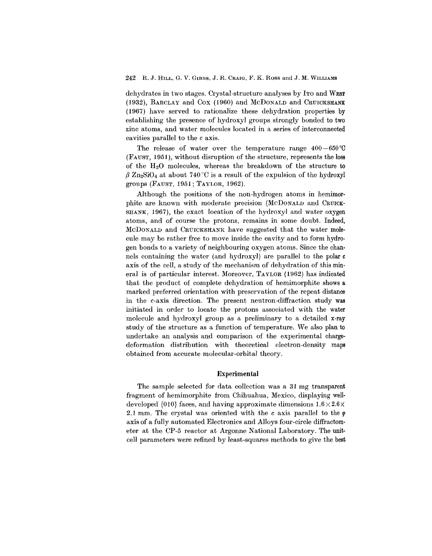dehydrates in two stages. Crystal-structure analyses by ITo and WEST (1932), BARCLAY and Cox (1960) and McDoNALD and CRUICKSHANK (1967) have served to rationalize these dehydration properties by establishing the presence of hydroxyl groups strongly bonded to two zinc atoms, and water molecules located in a series of interconnected cavities parallel to the *c* axis.

The release of water over the temperature range  $400-650$ °C (FAUST, 1951), without disruption of the structure, represents the loss of the  $H<sub>2</sub>O$  molecules, whereas the breakdown of the structure to  $\beta$  Zn<sub>2</sub>SiO<sub>4</sub> at about 740°C is a result of the expulsion of the hydroxyl groups (FAUST, 1951; TAYLOR, 1962).

Although the positions of the non-hydrogen atoms in hemimorphite are known with moderate precision (McDoNALD and CRUICK-SHANK, 1967), the exact location of the hydroxyl and water oxygen atoms, and of course the protons, remains in some doubt. Indeed, McDoNALD and CRUICKSHANK have suggested that the water molecule may be rather free to move inside the cavity and to form hydrogen bonds to a variety of neighbouring oxygen atoms. Since the channels containing the water (and hydroxyl) are parallel to the polar *c* axis of the cell, a study of the mechanism of dehydration of this mineral is of particular interest. Moreover, TAYLOR (1962) has indicated that the product of complete dehydration of hemimorphite shows a marked preferred orientation with preservation of the repeat distance in the c-axis direction. The present neutron-diffraction study was initiated in order to locate the protons associated with the water molecule and hydroxyl group as a preliminary to a detailed x-ray study of the structure as a function of temperature. We also plan to undertake an analysis and comparison of the experimental chargedeformation distribution with theoretical electron-density maps obtained from accurate molecular-orbital theory.

### **Experimental**

The sample selected for data collection was a 31 mg transparent fragment of hemimorphite from Chihuahua, Mexico, displaying well. developed  $\{010\}$  faces, and having approximate dimensions  $1.6 \times 2.6 \times$ 2.1 mm. The crystal was oriented with the  $c$  axis parallel to the  $\varphi$ axis of a fully automated Electronics and Alloys four-circle diffractometer at the CP-5 reactor at Argonne National Laboratory. The unitcell parameters were refined by least-squares methods to give the best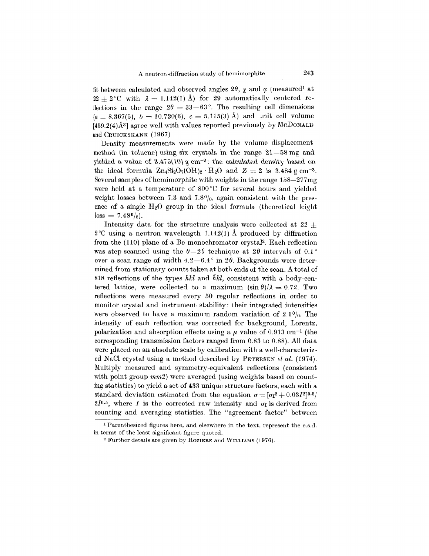fit between calculated and observed angles  $2\theta$ ,  $\chi$  and  $\varphi$  (measured<sup>1</sup> at  $22 \pm 2$  °C with  $\lambda = 1.142(1)$  Å) for 29 automatically centered reflections in the range  $2\theta = 33-63^{\circ}$ . The resulting cell dimensions  $(a = 8.367(5), b = 10.730(6), c = 5.115(3)$  Å) and unit cell volum  $[459.2(4)\text{\AA}{}^{3}]$  agree well with values reported previously by McDoNALD and CRUICKSKANK (1967)

Density measurements were made by the volume displacement method (in toluene) using six crystals in the range  $21-58$  mg and yielded a value of 3.475(10) g cm<sup>-3</sup>: the calculated density based on the ideal formula  $\text{Zn}_4\text{Si}_2\text{O}_7(\text{OH})_2 \cdot \text{H}_2\text{O}$  and  $Z = 2$  is 3.484 g cm<sup>-3</sup> Several samples of hemimorphite with weights in the range  $158-277$  mg were held at a temperature of  $800^{\circ}$ C for several hours and yielded weight losses between 7.3 and 7.8%, again consistent with the presence of a single  $H_2O$  group in the ideal formula (theoretical leight  $loss = 7.48\frac{0}{0}$ 

Intensity data for the structure analysis were collected at  $22 +$  $2^{\circ}$ C using a neutron wavelength 1.142(1) Å produced by diffraction from the (110) plane of a Be monochromator crysta12. Each reflection was step-scanned using the  $\theta - 2\theta$  technique at  $2\theta$  intervals of 0.1<sup>o</sup> over a scan range of width  $4.2-6.4^{\circ}$  in  $2\theta$ . Backgrounds were determined from stationary counts taken at both ends at the scan. A total of 818 reflections of the types *hkl* and *hkl,* consistent with a body-centered lattice, were collected to a maximum  $(\sin \theta)/\lambda = 0.72$ . Two reflections were measured every 50 regular reflections in order to monitor crystal and instrument stability: their integrated intensities were observed to have a maximum random variation of  $2.1\%$ . The intensity of each reflection was corrected for background, Lorentz, polarization and absorption effects using a  $\mu$  value of 0.913 cm<sup>-1</sup> (the corresponding transmission factors ranged from  $0.83$  to  $0.88$ ). All data were placed on an absolute scale by calibration with a well-characterized NaOI crystal using a method described by PETERSEN *et al. (1974).* Multiply measured and symmetry-equivalent reflections (consistent with point group  $mm2$ ) were averaged (using weights based on counting statistics) to yield a set of 433 unique structure factors, each with a standard deviation estimated from the equation  $\sigma = [\sigma_1^2 + 0.03I^2]^{0.5}$ 2 $I^{0.5}$ , where I is the corrected raw intensity and  $\sigma_{I}$  is derived from counting and averaging statistics. The "agreement factor" between

<sup>1</sup> Parenthesized figures here, and elsewhere in the text, represent the e.s.d. in terms of the least significant figure quoted.

<sup>2</sup> Further details are given by ROZIERE and WILLIAMS (1976).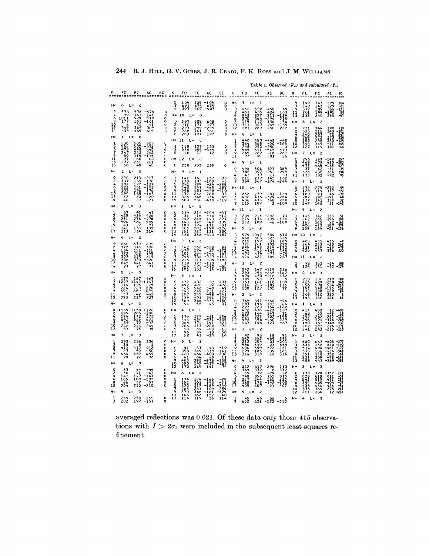|                 |                                           |                                           |                                                                  |              |                       |                                                                |                                                      |                                                                                                                                           |                                                             |                                |                                                |                                                                                       |                                                   | Table 1. Observed $(F_o)$ and calculated $(F_c)$                 |                     |                                                |                                                                       |                                                         |                                                         |
|-----------------|-------------------------------------------|-------------------------------------------|------------------------------------------------------------------|--------------|-----------------------|----------------------------------------------------------------|------------------------------------------------------|-------------------------------------------------------------------------------------------------------------------------------------------|-------------------------------------------------------------|--------------------------------|------------------------------------------------|---------------------------------------------------------------------------------------|---------------------------------------------------|------------------------------------------------------------------|---------------------|------------------------------------------------|-----------------------------------------------------------------------|---------------------------------------------------------|---------------------------------------------------------|
| ĸ               | FO                                        | FC                                        | AC                                                               | вC           | к                     | FO                                                             | FC                                                   | АC                                                                                                                                        | 8C                                                          | κ                              | FO                                             | FC                                                                                    | AC                                                | 80                                                               |                     |                                                | FC                                                                    |                                                         |                                                         |
|                 | 0                                         | O                                         |                                                                  |              | ş<br>Ŷ                | 109<br>691<br>397                                              | 105<br>675<br>407                                    | 1 05<br>675<br>407                                                                                                                        | oo<br>O                                                     |                                |                                                |                                                                                       |                                                   |                                                                  | うての                 |                                                |                                                                       |                                                         |                                                         |
| 2               | 573<br>99                                 | 578<br>141<br>979                         | $-578$<br>$-141$<br>$-679$                                       | o            | $H =$                 | 10<br>L                                                        | o<br>×                                               |                                                                                                                                           |                                                             | 2                              | 458                                            | 500<br>455<br>337<br>3642<br>11307<br>287                                             | -498<br>$\frac{424}{311}$                         | 49<br>163                                                        | łi<br>13            | 149<br>249<br>372<br>201<br>232                | 143<br>243<br>389<br>199<br>199                                       | $-229$<br>$-366$<br>$-191$<br>$-233$                    | $-131$<br>$-131$<br>$-51$<br>$-57$                      |
| 6<br>8          | 1011<br>349                               | $\frac{161}{369}$                         | 16]<br>41                                                        | e<br>So<br>Ö | $\frac{0}{2}$         |                                                                |                                                      | $^{608}_{177}$<br>$^{299}_{291}$                                                                                                          |                                                             | å<br>$^{10}_{12}$              | 7451<br>343<br>370<br>370<br>119<br>311<br>281 |                                                                                       | I 06<br>245<br>-50                                | -129<br>215<br>3365<br>-1852                                     | H=                  | 6                                              | 2<br>车                                                                |                                                         |                                                         |
| 10<br>12<br>14  | 439                                       |                                           | 369                                                              | ¢            | 4<br>6<br>8           | 597<br>170<br>297<br>768<br>203                                | 608<br>177<br>2991<br>761<br>197                     | 197                                                                                                                                       | oooo<br>ō                                                   | $H =$                          | 8                                              | 1                                                                                     |                                                   |                                                                  | $\frac{0}{4}$       | 331<br>260<br>369                              | 744<br>3157<br>2572<br>288345<br>345                                  | 190<br>243<br>172<br>172<br>260<br>101                  |                                                         |
| ⊭               | ı                                         | $\mathbf 0$                               | 505                                                              |              | н=                    | 11<br>L                                                        | o<br>Ξ                                               |                                                                                                                                           |                                                             |                                | 440                                            |                                                                                       |                                                   | -368                                                             | $\frac{6}{8}$       | 285<br>344                                     |                                                                       |                                                         | $-201$<br>$-247$<br>$330$<br>$-125$<br>$-345$<br>$-345$ |
| 13579           |                                           | 505<br>532<br>495<br>242<br>115<br>0.     | 532<br>495<br>242                                                | 000<br>00    | J<br>$\frac{3}{5}$    | $358$<br>$358$<br>48                                           | 123<br>355<br>72                                     | 123<br>355<br>72                                                                                                                          | 0<br>8                                                      | ろうてゅ                           | 3648505273                                     | 450<br>368<br>250<br>511<br>262<br>35                                                 | $-250$<br>$-250$<br>$-605$<br>$-18$<br>$-81$      | $-2\frac{3}{2}$                                                  | $^{10}_{12}$<br>H=  | 127<br>7                                       | $\overline{c}$                                                        |                                                         |                                                         |
| 11              | $530$<br>$565$<br>$4749$<br>$97$<br>$277$ |                                           | $\cdot\bar{\mathbf{1}}\bar{\mathbf{1}}\bar{\mathbf{5}}$<br>261   | င်           | H=                    | 12                                                             | Û                                                    |                                                                                                                                           |                                                             | 11<br>H=                       | 9                                              | ı                                                                                     |                                                   |                                                                  |                     | 256<br>463<br>472                              |                                                                       |                                                         |                                                         |
| 13<br>15<br>H=  | 60<br>2                                   | $251$<br>40<br>$\circ$                    |                                                                  |              | 0<br>H=               | 238                                                            | 238                                                  | 238                                                                                                                                       | Ō                                                           | $\frac{3}{4}$                  | 49 U<br>388                                    |                                                                                       |                                                   | 389                                                              | しろうて                | - 37<br>435                                    | $275$<br>465<br>430<br>430                                            | $-430$<br>$-185$<br>$-51$<br>$-382$                     | $\frac{202}{427}$<br>$-35$<br>$199$                     |
|                 |                                           | 213                                       |                                                                  |              |                       |                                                                |                                                      |                                                                                                                                           | $\frac{-38}{-8}$                                            | 6<br>8                         | $\frac{213}{369}$                              | $\frac{506}{397}$<br>$\frac{17}{217}$                                                 | $\frac{323}{262}$<br>$\frac{17}{145}$             | 299<br>162                                                       | 11                  | 138                                            |                                                                       |                                                         |                                                         |
| 00469744        | 2267<br>137<br>102<br>103<br>103<br>1922  | $\frac{136}{127}$<br>Īōi                  | $-213$<br>$-136$<br>$-127$<br>$-136$<br>$-136$<br>$-20$<br>$-27$ | coccoc       | まらてり                  | $\frac{1}{2}$ $\frac{1}{2}$ $\frac{3}{2}$ $\frac{3}{1}$<br>543 | $\frac{142}{289}$<br>$\frac{289}{254}$               | $137\n-103\n-24\n464\n-464\n-263\n-334\n-330\n-330$                                                                                       | 288<br>287                                                  | H≖                             | 0                                              | ı                                                                                     |                                                   | 244                                                              | H=                  | 8<br>L                                         | 2<br>$\overline{a}$<br>279                                            |                                                         |                                                         |
|                 |                                           | $\frac{136}{168}$                         |                                                                  |              | 11<br>13<br>15        | $\frac{598}{272}$                                              | $\frac{607}{262}$                                    |                                                                                                                                           | $\frac{410}{33}$                                            | ーララフ                           | 252<br>436<br>436<br>115                       | 239<br>435<br>433<br>109                                                              | 201<br>329<br>348                                 | $-\frac{129}{294}$                                               | 22<br>$\frac{6}{8}$ | 272<br>128<br>103<br>287<br>287<br>137         | 119<br>- 915<br>- 295<br>143                                          | $-272$<br>117<br>-291<br>-291<br>138<br>138             | $-22$<br>$-79$<br>$-79$<br>$-48$<br>$32$<br>$-142$      |
| H=              | 46<br>3                                   | 0                                         |                                                                  | Ó            | H=                    | 509<br>ı                                                       | 536                                                  |                                                                                                                                           | -319                                                        |                                |                                                |                                                                                       |                                                   | -105                                                             | 1Ŏ                  | ı<br>42                                        |                                                                       |                                                         |                                                         |
|                 | 67<br>420<br>281                          | $426$<br>$276$                            | $\frac{426}{276}$                                                |              | Ź,                    | 219<br>$\frac{31}{242}$                                        | 21<br>5<br>16                                        | -209                                                                                                                                      | -47                                                         | H=                             | 11                                             | ı                                                                                     |                                                   |                                                                  | H=                  | 9                                              | 2                                                                     |                                                         |                                                         |
| きっちてゅ           | 596<br>43                                 | $584$<br>$138$<br>$138$<br>$314$          | $584$<br>$38$<br>$138$                                           | 99999        | 6<br>8                | $\frac{148}{180}$                                              | 26884<br>1741<br>3026388                             | $-203$<br>$-143$<br>$-171$<br>$-199$<br>$-121$<br>$-340$                                                                                  | $-127$<br>$-227$<br>$1391$<br>$-230$<br>$-230$<br>$-187$    | $\frac{3}{2}$                  | $^{209}_{174}$                                 | 215<br>174<br>109                                                                     | $-202$<br>$-105$<br>-6                            | $-138$<br>$-109$                                                 | ようちてら               | 145<br>262<br>165<br>426<br>159                | $\frac{142}{266}$<br>$\frac{165}{423}$                                | $\frac{133}{196}$<br>$\frac{22}{187}$                   | 51<br>180<br>163<br>156 –<br>156                        |
| 1ĺ<br>13        | 14ī<br>31 Š                               |                                           | 314                                                              | C            | $\frac{18}{12}$       | 251<br>388                                                     |                                                      |                                                                                                                                           |                                                             | H=                             | 0<br>975                                       | 2<br>047                                                                              | 804                                               |                                                                  | Ħ۵                  | 1<br>10<br>L                                   | 164<br>Ż                                                              |                                                         |                                                         |
| H≈              | 4                                         | $\mathbf c$                               |                                                                  |              | н=                    | 2                                                              |                                                      |                                                                                                                                           |                                                             | $\frac{3}{2}$<br>$\frac{4}{6}$ | 468<br>210                                     | 5032218934179                                                                         | $323$<br>$733$<br>$703$<br>$754$<br>$73$<br>$473$ | $670$<br>$385$<br>$189$<br>$290$<br>$172$<br>$388$<br>$-75$      |                     |                                                |                                                                       | $^{435}_{-20}$                                          |                                                         |
|                 |                                           |                                           |                                                                  | n            | ろうア                   |                                                                |                                                      |                                                                                                                                           |                                                             | 1001                           | 77ĭ<br>395<br>404<br>479                       |                                                                                       |                                                   |                                                                  | 0246                | $264$<br>$121$<br>$121$<br>$425$               | $263$<br>$119$<br>$119$                                               |                                                         | 262<br>-76<br>222                                       |
| $12^{10}$       | 66224373473384577                         | 670615857531532677                        | 6374518853133347                                                 | 0000         |                       | 54781378137415597                                              | 5379373337337573                                     | $-5\frac{5}{2}$<br>$-2\frac{2}{7}$<br>$-7\frac{2}{7}$<br>$-7\frac{2}{7}$<br>$-1\frac{2}{7}$<br>$-1\frac{2}{7}$<br>$-5\frac{7}{7}$<br>$16$ | $-373$<br>$-163$<br>$-113$<br>$-188$                        | ī4                             |                                                | 421                                                                                   | 309                                               | 287                                                              | H=                  | 11                                             | 2                                                                     |                                                         |                                                         |
| 14              |                                           |                                           |                                                                  | o            | 9<br>11<br>13         | 101                                                            |                                                      |                                                                                                                                           | $-\frac{1}{101}$                                            | $H =$                          | ı                                              | 2<br>347                                                                              | -115                                              | 326                                                              | ı<br>з              | 98<br>24                                       | $^{193}_{131}$                                                        | $-22$                                                   | $-129$                                                  |
| H=              | 5                                         | o<br>67                                   |                                                                  |              | H=                    | 3                                                              | ı                                                    |                                                                                                                                           |                                                             | 1357                           | 342<br>293<br>474<br>i 95<br>1 57              | $^{29}_{483}$                                                                         | $-\frac{2}{2}$ 16                                 | -162<br>432                                                      | H=                  | ٥                                              | 3                                                                     |                                                         |                                                         |
| ろうで             | 207                                       |                                           | $167$<br>$147$<br>$125$<br>$220$<br>$69$                         | ္ငင္ ၁၁၁     | 2<br>٠                | 432<br>492                                                     | 43                                                   |                                                                                                                                           | 431                                                         | ٠<br>$\frac{11}{13}$           | 157<br>216<br>138                              | $\frac{1}{2}$<br>$\frac{1}{2}$<br>$\frac{1}{2}$<br>$\frac{1}{2}$<br><br>$\frac{1}{2}$ | $-118$<br>$-182$<br>$-182$                        | $\frac{1}{1}$<br>$\frac{1}{2}$<br>$\frac{1}{7}$                  | 13579               | 223<br>423<br>556<br>553<br>573<br>205<br>205  |                                                                       | 219<br>250<br>534<br>534<br>189<br>210                  |                                                         |
| $\frac{11}{13}$ | 224<br>591<br>57<br>235                   | $147$<br>$125$<br>$220$<br>$284$<br>$227$ | 742<br>227                                                       |              | $\frac{6}{10}$        | $\frac{565}{2437}$                                             | $-454651$                                            | $3290$<br>5401187-21381<br>5913345                                                                                                        | $-48.4$<br>$-12.7$<br>$-34.1$<br>$-169.$                    | H≈                             | 2                                              | 2                                                                                     |                                                   |                                                                  | ł,                  | 144                                            | 2369<br>4298<br>578<br>590<br>190<br>216                              | 126                                                     | $-348$<br>$223$<br>$-24$<br>$-3$<br>$-3$<br>$-1$        |
| Ha              | A                                         | 0                                         |                                                                  |              | ī4                    | 364<br>44                                                      | 366<br>58                                            |                                                                                                                                           | -150<br>37                                                  | 02468                          | 369<br>187<br>227<br>432<br>432<br>173<br>221  | 351<br>1943<br>22364<br>4364<br>223<br>4964                                           | 348<br>183<br>1543<br>423<br>147                  | -46                                                              | H=                  | ı<br>L                                         | 3<br>$\overline{\phantom{a}}$                                         |                                                         |                                                         |
|                 | 1139<br>195<br>174                        | 120<br>206<br>172<br>625<br>72            |                                                                  |              | $H =$                 | 4<br>179                                                       | ı<br>L=<br>189                                       | 31                                                                                                                                        | 186                                                         |                                |                                                |                                                                                       |                                                   | $\frac{63}{107}$<br>198                                          |                     | 4 13<br>2 9 2<br>2 9 2                         |                                                                       | 12                                                      |                                                         |
| 2294022         | $642$<br>$89$                             |                                           | $1120$<br>$-206$<br>$172$<br>$-272$<br>$-272$<br>$-244$          | ò<br>့       | ーララフ                  | $\frac{1}{368}$                                                |                                                      |                                                                                                                                           |                                                             | $^{10}_{12}$                   | 498                                            | 1                                                                                     | $^{440}_{127}$                                    | 229                                                              | nto a choo          | $296$<br>$150$<br>$282$<br>$241$               | 4952213283283                                                         | $-48$<br>$-252$<br>$-176$<br>$-149$<br>$-226$<br>$-216$ | -259<br>-37<br>-171<br>-110                             |
| $H =$           | $^{24}_{83}$<br>7                         | 244<br>$\theta$                           |                                                                  |              | ċ,<br>$\frac{11}{13}$ | 0686862                                                        | 45043<br>3743491<br>41                               | $\frac{1331}{191}$<br>$\frac{191}{293}$<br>$-33$<br>$-38$                                                                                 | $\frac{305}{322}$<br>$\frac{322}{723}$<br>$\frac{-130}{50}$ | H=                             | з                                              | 2                                                                                     |                                                   |                                                                  | H≈                  | 2                                              | 3                                                                     |                                                         |                                                         |
|                 | 233<br>38                                 |                                           | 236                                                              |              | $H =$                 | 5                                                              | $L =$<br>1                                           |                                                                                                                                           |                                                             | しろうて                           | 92<br>542<br>212<br>556<br>604<br>179          | 9324499952559995                                                                      | $184693323572-39$                                 | $\begin{array}{r} 291 \\ 291 \\ -201 \\ 559 \\ -181 \end{array}$ |                     |                                                |                                                                       |                                                         |                                                         |
| 13579           | $411$<br>$47$<br>$454$<br>$79$            | $236$<br>412<br>412<br>50<br>459<br>459   | $-38$<br>$-50$                                                   | 0000         | $\frac{5}{4}$         | 3.60                                                           |                                                      |                                                                                                                                           | $\frac{1}{2}$                                               | 9<br>łi,                       |                                                |                                                                                       |                                                   | ī8ī                                                              | ・ミライタ               |                                                |                                                                       | $-630$<br>$-630$<br>$-434$<br>$-352$<br>$-73$<br>$-73$  |                                                         |
| 11              |                                           |                                           | $459$<br>$72$                                                    | o            | o<br>8                | 460<br>61                                                      | $398$<br>398                                         | $-319$<br>$-319$<br>$-400$<br>$-373$<br>$-373$<br>$-475$<br>$151$                                                                         | $-138$<br>$-267$                                            | H=                             | 314                                            | 318<br>Ż                                                                              | 36                                                | 316                                                              | ij                  | 680<br>633<br>534<br>575<br>5351<br>221<br>453 | 6638<br>6584<br>59568<br>3509<br>2447                                 | -369                                                    | $-196$<br>$-196$<br>$-252$                              |
| н               | ĸ<br>$^{63}_{56}$                         | $\theta$<br>44                            | -44                                                              | 0            | $\frac{10}{12}$       | 465<br>550<br>170                                              | 16                                                   |                                                                                                                                           |                                                             |                                |                                                | $\frac{317}{372}$                                                                     |                                                   |                                                                  | н=                  | з<br>1                                         | 3<br>×                                                                |                                                         |                                                         |
| Japeno          | 141<br>105                                | 147<br>i oò                               | $-\frac{1}{147}$<br>$-197$<br>$\frac{1}{57}$                     | ဂ္ဂိ<br>O    | H=                    | 6                                                              | Ŧ                                                    |                                                                                                                                           |                                                             | <b>HOOO+NO</b>                 | 312<br>369<br>555<br>348<br>257                | $\frac{1356}{264}$<br>173                                                             | $296$<br>-79<br>-79<br>165<br>131<br>142<br>21    | $\frac{113}{372}$<br>$\frac{372}{230}$                           |                     | 778<br>828<br>543                              | 778                                                                   | 811<br>472                                              |                                                         |
|                 | -66<br>204                                | - 57<br>210                               | 210                                                              | ë            | ようてつ                  | 174<br>152<br>320                                              | 184<br>161<br>312<br>312<br>281<br>366<br>162<br>119 | $166$<br>$153$<br>$189$<br>$109$<br>$161$<br>$157$<br>$36$                                                                                | --5199904                                                   |                                | 180                                            |                                                                                       |                                                   | -ī ōō<br>407                                                     | 0246822             | 394<br>394<br>3373<br>211                      | $\begin{array}{r} 113 \\ 519 \\ 405 \\ 430 \\ 366 \\ 206 \end{array}$ | $\frac{7164}{426}$<br>$\frac{226}{275}$                 | $-55$<br>217<br>-27<br>-265<br>206                      |
|                 | 9                                         |                                           |                                                                  |              | 11<br>13              | 285<br>370<br>165<br>114                                       |                                                      |                                                                                                                                           |                                                             | H=                             | 5<br>45                                        | 2<br>66                                                                               |                                                   |                                                                  | H=                  | 4                                              | 3<br>$L =$                                                            |                                                         |                                                         |
| ļ               | 259<br>202                                | $^{250}_{197}$                            | $^{252}_{197}$                                                   | š            |                       |                                                                |                                                      |                                                                                                                                           |                                                             | 1                              |                                                | 631                                                                                   | $-522$                                            | 355                                                              |                     |                                                |                                                                       |                                                         |                                                         |

averaged reflections was 0.021. Of these data only those 415 observations with  $I > 2\sigma_I$  were included in the subsequent least-squares refinement.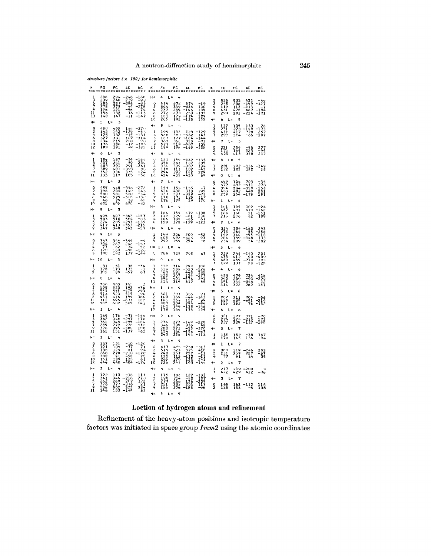structure factors  $(\times 100)$  for hemimorphite

|                                                                                                           | ۴O                                                                                                                 | FC                                                                 |                                                                                   |                                                                                                                                                                                                                         |                                                        |                                                                                                                                              |                                                     |                                                                           | BC.                                                            |                                | FO                                         |                                         |                                        |                                                                  |
|-----------------------------------------------------------------------------------------------------------|--------------------------------------------------------------------------------------------------------------------|--------------------------------------------------------------------|-----------------------------------------------------------------------------------|-------------------------------------------------------------------------------------------------------------------------------------------------------------------------------------------------------------------------|--------------------------------------------------------|----------------------------------------------------------------------------------------------------------------------------------------------|-----------------------------------------------------|---------------------------------------------------------------------------|----------------------------------------------------------------|--------------------------------|--------------------------------------------|-----------------------------------------|----------------------------------------|------------------------------------------------------------------|
| ة<br>1797م<br>113                                                                                         | 288<br>239<br>285<br>278<br>278<br>6<br>8                                                                          | 2940<br>22878<br>278278<br>121<br>1387                             | $246$<br>$219$<br>$286$<br>$496$<br>$-76$<br>$-11$                                | $-983$<br>$-333$<br>$-275$<br>$-115$<br>$-147$                                                                                                                                                                          | past <sub>ne</sub>                                     | 589<br>$\frac{344}{227}$<br>272<br>181                                                                                                       | 575<br>$\frac{349}{235}$<br>$\frac{235}{273}$       | 574<br>$-334$<br>$-146$<br>$-253$<br>$-124$<br>$-124$                     | -19<br>100<br>185<br>-103<br>129<br>155                        | <b>0246</b><br>8               | 245<br>1191<br>481<br>293<br>6<br>1 =      | 533<br>236<br>113<br>478<br>282<br>5    | $-199$<br>$-113$<br>$-113$<br>$-224$   | $-127$<br>$-127$<br>$-124$<br>$-171$                             |
| ⊭<br>0<br>2<br>2<br>2<br>2<br>2<br>2<br>2<br>2<br>2<br>2<br>2<br>2<br>2<br>2<br><br><br><br><br><br><br>2 | 5<br>400<br>$^{142}_{125}$<br>$\frac{3}{2}$<br>$\frac{2}{3}$<br>$\frac{1}{16}$<br>$\frac{1}{16}$<br>$\frac{1}{16}$ | 142<br>1432<br>331<br>319<br>2186<br>191                           | $\begin{array}{c}\n164 \\ -129 \\ -15 \\ -200 \\ -249\n\end{array}$               | $-370$<br>$-131$<br>$-131$<br>$-314$<br>$-90$<br>$-185$<br>$-185$                                                                                                                                                       | н=<br>$\frac{1}{3}$<br>$\frac{5}{7}$<br>$\frac{9}{11}$ | 5<br>L =<br>195<br>15887<br>1873<br>3627<br>189                                                                                              | $\frac{192}{58}$<br>$\frac{177}{360}$<br>519<br>196 | $\begin{array}{r} 129 \\ -562 \\ -104 \\ 353 \\ -507 \\ -165 \end{array}$ | $-129$<br>$-143$<br>$-144$<br>$-71$<br>$-109$                  | ーコンラフ                          | $\frac{137}{231}$                          | 135<br>228<br>417<br>3C4<br>5           |                                        | $-133$<br>$-148$<br>$-173$<br>$-28$<br>$-257$<br>$-66$<br>$-297$ |
| ₩                                                                                                         | 6                                                                                                                  | R                                                                  |                                                                                   |                                                                                                                                                                                                                         | 42                                                     |                                                                                                                                              |                                                     |                                                                           |                                                                | $\frac{0}{2}$<br>4             | 231<br>170<br>423                          | $234$<br>$155$<br>$418$                 | $\frac{-58}{123}$                      | $\frac{227}{295}$                                                |
| ا<br>11979<br>11                                                                                          | 154<br>237<br>403<br>389<br>352<br>352                                                                             | 157<br>241<br>391<br>391<br>401<br>336<br>119                      | $-34$<br>$-391$<br>$-393$<br>$-393$<br>$-335$<br>$105$                            | $-154$<br>$-234$<br>$-261$<br>$-261$<br>$-24$<br>$-56$                                                                                                                                                                  | $\begin{array}{c}\n0 \\ 2 \\ 0\n\end{array}$           | 181<br>$\frac{3500}{3300}$<br>3300<br>434                                                                                                    | p c<br>1345<br>3435<br>3311<br>292                  | $\begin{array}{r} -132 \\ 187 \\ -307 \\ 102 \\ 182 \\ -430 \end{array}$  | $\frac{135}{285}$<br>$\frac{285}{1343}$<br>$\frac{143}{269}$   | ı<br>3                         | 201<br>172<br>a                            | $^{202}_{183}$                          | $\frac{136}{182}$                      |                                                                  |
| Hz<br>$\frac{2}{4}$<br>$\frac{6}{10}$                                                                     | 7<br>L a<br>455<br>$\frac{196}{580}$<br>540<br>$\frac{4}{60}$<br>é                                                 | 3<br>448<br>200<br>581<br>525<br>575<br>605                        | $-356$<br>$-140$<br>$-580$<br>$-508$<br>$-538$<br>$600$                           | -272<br>$\frac{1}{2}$<br>$\frac{1}{2}$<br>$\frac{1}{2}$<br>$\frac{1}{2}$<br>$\frac{1}{2}$<br><br>$\frac{1}{2}$<br><br><br><br><br><br><br><br><br><br><br><br><br><br><br><br><br><br><br><br><br><br><br><br><br>$-85$ | H=<br>まるらアン                                            | 7<br>$\begin{array}{l} 159 \\ 426 \\ 337 \\ 176 \\ 176 \end{array}$                                                                          | 155<br>430<br>337<br>171<br>175                     | $-155$<br>$-313$<br>$-329$<br>$125$<br>$325$                              | $\frac{295}{117}$                                              | 0<br>2<br>4<br>8               | 049<br>472<br>344<br>2.83                  | 704<br>492<br>$\frac{38}{492}$          | 703<br>-411<br>-350<br>-449<br>-178    | $\begin{array}{r} -35 \\ 270 \\ -158 \\ 201 \\ 181 \end{array}$  |
| H≈<br>135フタ                                                                                               | 8<br>405<br>503<br>274<br>417<br>347                                                                               | ٦<br>407<br>510<br>285<br>413                                      | $-362$<br>$-2504$<br>$-353$<br>$-353$<br>343                                      | $-137$<br>$-133$<br>$-135$<br>$-215$<br>$-57$                                                                                                                                                                           | н=<br>のうちら                                             | 8<br>166<br>138<br>106<br>159                                                                                                                | $\frac{159}{109}$<br>$\frac{129}{178}$              | $-79$<br>$-81$<br>$-85$<br>$-129$                                         | 138<br>100<br>-123<br>-123                                     | נ<br>לי<br>ᆏ                   | 161<br>487<br>164<br>213<br>Ż              | 105<br>491<br>160<br>206                | $-470$<br>$-470$<br>$-51$<br>$82$      | $-142$<br>$-142$<br>$-151$<br>$189$                              |
| н.<br>$2^0$                                                                                               | 9<br>$\frac{343}{304}$                                                                                             | ٩                                                                  |                                                                                   |                                                                                                                                                                                                                         | ز                                                      | $\frac{663}{247}$                                                                                                                            | $206$<br>$292$<br>$255$                             | 200<br>585<br>254                                                         | $-52$                                                          | <b>C2463</b>                   | 324<br>273<br>149<br>206<br>204            | 334<br>264<br>130<br>199                | $-180$<br>$-55$<br>$-148$<br>$-148$    | $293 - 258 - 1189 - 1333 - 202$                                  |
| $\frac{6}{3}$<br>H=                                                                                       | 17<br>19<br>10<br>$L =$                                                                                            | $\begin{array}{l} 344 \\ 287 \\ 62 \\ 169 \\ 192 \end{array}$<br>3 | $-344$<br>$242$<br>$-34$<br>$-98$<br>$137$                                        | $-1\frac{53}{52}$<br>$-126$<br>$-144$                                                                                                                                                                                   | н=                                                     | 10<br>$\mathbf{r}$<br>709<br>ŋ<br>ι=                                                                                                         | 708<br>۰j                                           | 705                                                                       | 67                                                             | н=<br>1<br>ろう                  | 3<br>229<br>433<br>460<br>129              | 245<br>412<br>469<br>137                | $-140$<br>$-270$<br>$-58$              | $201$<br>$-409$<br>$-383$<br>$-125$                              |
| ]<br>5                                                                                                    | $\frac{31}{105}$<br>ο<br>300                                                                                       | $1\frac{51}{88}$                                                   | $\frac{38}{173}$                                                                  | $\frac{34}{57}$                                                                                                                                                                                                         | まちら<br>ıi                                              | 310<br>519<br>560<br>335<br>396                                                                                                              | 3165<br>5351<br>591<br>307<br>401                   | 298<br>520<br>448<br>434<br>134<br>276<br>312                             | 106<br>$\frac{126}{385}$<br>$\frac{277}{291}$                  | 02.4<br>6                      | 488<br>240<br>351<br>រ៍រំនិ                | 479<br>239<br>344<br>322                | $\frac{234}{344}$<br>$\frac{344}{262}$ | $-220$<br>$-220$<br>$187$                                        |
| 22<br>$\frac{6}{12}$<br>H≈                                                                                | şè<br>5<br>ī<br>$\frac{51}{431}$<br>$\frac{431}{711}$<br>$\frac{71}{58}$<br>ı<br>L=                                | 300<br>523<br>5523<br>523<br>54166<br>4                            | $\frac{192}{475}$<br>$\frac{7}{1}$ $\frac{5}{1}$<br>$\frac{71}{5}$ $\frac{85}{5}$ | $293$<br>$293$<br>$\frac{365}{182}$                                                                                                                                                                                     | H=<br>$\frac{6}{2}$<br>$\frac{6}{10}$                  | 401<br>169<br>166<br>309<br>$^{200}_{178}$                                                                                                   | v,<br>164<br>īš.<br>309<br>ī au<br>i 85             | $\begin{array}{l} 386 \\ -117 \\ 294 \\ 135 \\ 135 \\ 133 \end{array}$    | 163<br>99<br>44 -<br>146-<br>129                               | ا<br>5                         | 5<br>ヒ=<br>207<br>$\frac{685}{155}$<br>l = | 6<br>211<br>685<br>152<br>6             | $-651 -214$<br>$-651 -214$<br>76 -132  |                                                                  |
| $\frac{1}{3}$<br>$\frac{5}{7}$<br>$\frac{9}{11}$                                                          | 169<br>342<br>1342<br>3461<br>2858<br>2878                                                                         | 170<br>348<br>279<br>395<br>151                                    | -71<br>-297<br>-295<br>-380<br>-137                                               | $36^4$<br>ĩ<br>$\frac{184}{108}$<br>-62                                                                                                                                                                                 | H=<br>נגל                                              | $\overline{c}$<br>274<br>$\frac{2}{3}$<br>$\frac{2}{3}$<br>$\frac{1}{3}$<br>$\frac{5}{4}$<br>$\frac{3}{4}$<br>$\frac{3}{4}$<br>$\frac{3}{4}$ | 277<br>339<br>272<br>160<br>225                     | $\frac{169}{335}$<br>-35<br>-35<br>150<br>194                             | 220<br>$-270$<br>$-270$<br>$-113$                              | О<br>ž                         | 381<br>274<br>222<br>L=                    | $\frac{377}{275}$<br>7                  | $-215$<br>$-127$                       | $\frac{770}{190}$                                                |
| H=<br>2246802                                                                                             | $\overline{z}$<br>$^{137}_{101}$<br>138<br>260<br>198<br>151                                                       | 121<br>134<br>1240<br>270<br>139<br>139                            | $\begin{array}{c} -10 \\ -77 \\ -210 \\ -58 \\ 125 \\ 125 \\ -404 \end{array}$    | $-120$<br>$71$<br>$-170$<br>$70$<br>$-170$<br>$-121$<br>-176                                                                                                                                                            | $02468$<br>$10$                                        | 3<br>41798<br>5198<br>248<br>1205<br>265                                                                                                     | 5<br>523<br>257<br>257<br>274                       | $-258$<br>3257<br>257<br>-1123<br>123                                     | $-313$<br>$-10$<br>$-11$<br>$-11$<br>$-11$<br>$-241$<br>$-144$ | $\frac{1}{3}$<br>$\frac{3}{2}$ | $\frac{155}{178}$<br>300<br>2월<br>77       | $^{152}_{165}$<br>319<br>259<br>91<br>7 | $-38$<br>136<br>$\frac{246}{257}$      | $\frac{147}{-94}$<br>$203$<br>$-37$<br>$35$                      |
| H≃                                                                                                        | 3                                                                                                                  |                                                                    |                                                                                   |                                                                                                                                                                                                                         | $H =$                                                  | 4                                                                                                                                            | 182                                                 | 127                                                                       |                                                                | ]<br>3                         | 217<br>422                                 | 209<br>429                              | $-209$<br>422                          | ر<br>76-                                                         |
| $\frac{1}{3}$<br>$\frac{5}{7}$<br>$\frac{7}{9}$<br>$11$                                                   | 122<br>341<br>262<br>376<br>$\frac{500}{146}$                                                                      | 113<br>346<br>2697<br>377<br>502<br>52                             | $-216$<br>$-216$<br>$-376$<br>$-323$<br>$-148$                                    | $\frac{111}{270}$<br>$\frac{172}{21}$<br>$384$<br>$38$                                                                                                                                                                  | ーラミフタ                                                  | 175<br>198<br>273<br>251<br>186                                                                                                              | 2046232                                             | $\frac{180}{200}$<br>$-183$                                               | $\frac{131}{137}$                                              | $\frac{0}{2}$                  | $\frac{1}{1} \frac{63}{33}$                | 7<br>$\frac{163}{138}$                  | $-112$                                 | $\frac{118}{138}$                                                |

# Loction of hydrogen atoms and refinement

Refinement of the heavy-atom positions and isotropic temperature factors was initiated in space group *Imm2* using the atomic coordinates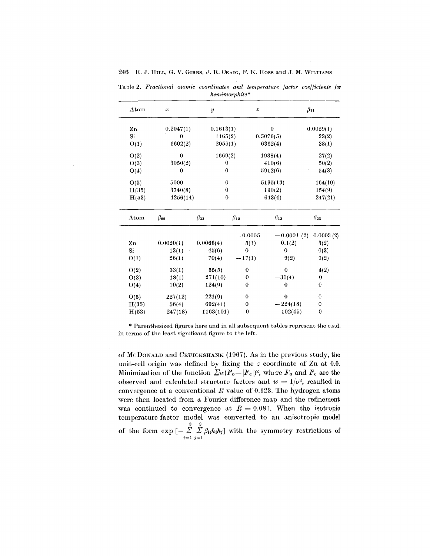246 R. J. HILL, G. V. GIBBS, J. R. CRAIG, F. K. Ross and J. M. WILLIAMS

|          |                  | nemmorpnwe       |                  |                  |                  |
|----------|------------------|------------------|------------------|------------------|------------------|
| Atom     | $\boldsymbol{x}$ | $\boldsymbol{y}$ | $\boldsymbol{z}$ |                  | $\beta_{11}$     |
| Zn       | 0.2047(1)        | 0.1613(1)        |                  | $\overline{0}$   | 0.0029(1)        |
| $\rm Si$ | $\bf{0}$         | 1465(2)          |                  | 0.5076(5)        | 23(2)            |
| O(1)     | 1602(2)          | 2055(1)          |                  | 6362(4)          | 38(1)            |
| O(2)     | $\overline{0}$   | 1669(2)          |                  | 1938(4)          | 27(2)            |
| O(3)     | 3050(2)          | $\boldsymbol{0}$ |                  | 410(6)           | 50(2)            |
| O(4)     | $\theta$         | $\bf{0}$         |                  | 5912(6)          | 54(3)            |
| O(5)     | 5000             | $\bf{0}$         |                  | 5195(13)         | 164(10)          |
| H(35)    | 3740(8)          | $\bf{0}$         |                  | 190(2)           | 154(9)           |
| H(53)    | 4256(14)         | $\boldsymbol{0}$ |                  | 643(4)           | 247(21)          |
| Atom     | $\beta_{22}$     | $\beta_{33}$     | $\beta_{12}$     | $\beta_{13}$     | $\beta_{23}$     |
|          |                  |                  | $-0.0005$        | $-0.0001(2)$     | 0.0003(2)        |
| Zn       | 0.0020(1)        | 0.0066(4)        | 5(1)             | 0.1(2)           | 3(2)             |
| Si       | 13(1)            | 45(6)            | $\bf{0}$         | $\bf{0}$         | 0(3)             |
| O(1)     | 26(1)            | 70(4)            | $-17(1)$         | 9(2)             | 9(2)             |
| O(2)     | 33(1)            | 55(5)            | $\bf{0}$         | $\boldsymbol{0}$ | 4(2)             |
| O(3)     | 18(1)            | 271(10)          | $\bf{0}$         | $-30(4)$         | $\bf{0}$         |
| O(4)     | 10(2)            | 124(9)           | $\theta$         | $\bf{0}$         | $\boldsymbol{0}$ |
| O(5)     | 227(12)          | 221(9)           | $\mathbf{0}$     | $\bf{0}$         | $\bf{0}$         |
| H(35)    | 56(4)            | 692(41)          | $\bf{0}$         | $-224(18)$       | $\bf{0}$         |
| H(53)    | 247(18)          | 1163(101)        | $\bf{0}$         | 102(45)          | $\bf{0}$         |
|          |                  |                  |                  |                  |                  |

Table 2. *Fractional atomic coordinates and temperature factor coefficients for hemimorphite \**

in terms of the least significant figure to the left. Parenthesized figures here and in all subsequent tables represent the e.s.d.

of McDoNALD and CRUICKSHANK (1967). As in the previous study, the unit-cell origin was defined by fixing the *z* coordinate of Zn at 0.0. Minimization of the function  $\sum w(F_o - |F_c|)^2$ , where  $F_o$  and  $F_c$  are the observed and calculated structure factors and  $w = 1/\sigma^2$ , resulted in convergence at a conventional *R* value of 0.123. The hydrogen atoms were then located from a Fourier difference map and the refinement was continued to convergence at  $R = 0.081$ . When the isotropic temperature-factor model was converted to an anisotropic model 3 3 of the form  $\exp \left[-\sum_{i=1}^{\infty} \sum_{j=1}^{\infty} \beta_{ij} h_i h_j \right]$  with the symmetry restrictions of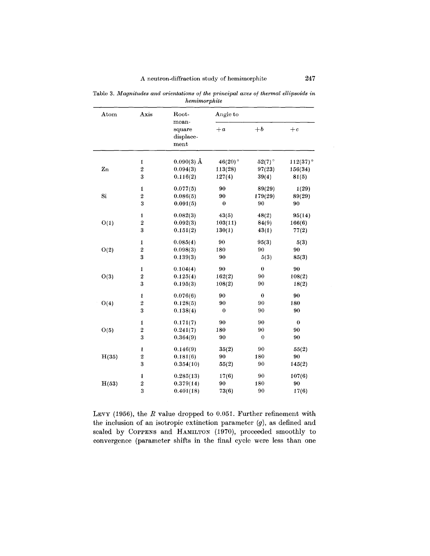| Atom           | Axis                    | Root-<br>mean-              | Angle to         |                  |             |  |  |  |
|----------------|-------------------------|-----------------------------|------------------|------------------|-------------|--|--|--|
|                |                         | square<br>displace-<br>ment | $+a$             | $+b$             | $+ c$       |  |  |  |
|                | 1                       | $0.090(3)$ Å                | $46(20)$ °       | $52(7)$ °        | $112(37)$ ° |  |  |  |
| $\mathbf{Z}$ n | $\boldsymbol{2}$        | 0.094(3)                    | 113(28)          | 97(23)           | 156(34)     |  |  |  |
|                | 3                       | 0.116(2)                    | 127(4)           | 39(4)            | 81(5)       |  |  |  |
|                | $\mathbf{1}$            | 0.077(5)                    | 90               | 89(29)           | 1(29)       |  |  |  |
| Si             | $\bf 2$                 | 0.086(5)                    | 90               | 179(29)          | 89(29)      |  |  |  |
|                | $\bf{3}$                | 0.091(5)                    | $\boldsymbol{0}$ | 90               | 90          |  |  |  |
|                | $\mathbf{1}$            | 0.082(3)                    | 43(5)            | 48(2)            | 95(14)      |  |  |  |
| O(1)           | $\boldsymbol{2}$        | 0.092(3)                    | 103(11)          | 84(9)            | 166(6)      |  |  |  |
|                | $\bf{3}$                | 0.151(2)                    | 130(1)           | 43(1)            | 77(2)       |  |  |  |
|                | $\mathbf{1}$            | 0.085(4)                    | 90               | 95(3)            | 5(3)        |  |  |  |
| O(2)           | $\overline{2}$          | 0.098(3)                    | 180              | 90               | 90          |  |  |  |
|                | 3                       | 0.139(3)                    | 90               | 5(3)             | 85(3)       |  |  |  |
|                | $\mathbf{1}$            | 0.104(4)                    | 90               | $\bf{0}$         | 90          |  |  |  |
| O(3)           | $\overline{\mathbf{2}}$ | 0.125(4)                    | 162(2)           | 90               | 108(2)      |  |  |  |
|                | 3                       | 0.195(3)                    | 108(2)           | 90               | 18(2)       |  |  |  |
|                | $\mathbf{1}$            | 0.076(6)                    | 90               | $\bf{0}$         | 90          |  |  |  |
| O(4)           | $\boldsymbol{2}$        | 0.128(5)                    | 90               | 90               | 180         |  |  |  |
|                | 3                       | 0.138(4)                    | $\bf{0}$         | 90               | 90          |  |  |  |
|                | $\mathbf{1}$            | 0.171(7)                    | 90               | 90               | $\bf{0}$    |  |  |  |
| O(5)           | $\boldsymbol{2}$        | 0.241(7)                    | 180              | 90               | 90          |  |  |  |
|                | $\bf{3}$                | 0.364(9)                    | 90               | $\boldsymbol{0}$ | 90          |  |  |  |
|                | 1                       | 0.146(9)                    | 35(2)            | 90               | 55(2)       |  |  |  |
| H(35)          | $\bf 2$                 | 0.181(6)                    | 90               | 180              | 90          |  |  |  |
|                | $\bf{3}$                | 0.354(10)                   | 55(2)            | 90               | 145(2)      |  |  |  |
|                | $\mathbf{1}$            | 0.285(13)                   | 17(6)            | 90               | 107(6)      |  |  |  |
| H(53)          | $\boldsymbol{2}$        | 0.379(14)                   | 90               | 180              | 90          |  |  |  |
|                | 3                       | 0.401(18)                   | 73(6)            | 90               | 17(6)       |  |  |  |

Table 3. *Magnitudes and orientations of the principal axes of thermal ellipsoids in hemimorphite*

 $\overline{a}$ 

LEVY (1956), the *R* value dropped to 0.051. Further refinement with the inclusion of an isotropic extinction parameter *(g),* as defined and scaled by COPPENS and HAMILTON (1970), proceeded smoothly to convergence (parameter shifts in the final cycle were less than one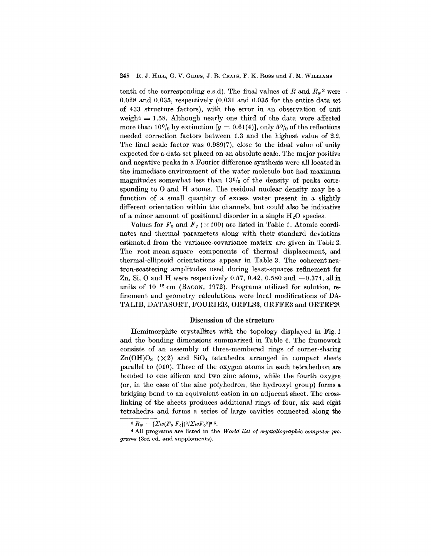tenth of the corresponding e.s.d). The final values of R and  $R_w^3$  were 0.028 and 0.035, respectively (0.031 and 0.035 for the entire data set of 433 structure factors), with the error in an observation of unit  $weight = 1.58$ . Although nearly one third of the data were affected more than  $10\%$  by extinction [ $g = 0.61(4)$ ], only  $5\%$  of the reflection needed correction factors between 1.3 and the highest value of 2.2. The final scale factor was 0.989(7), close to the ideal value of unity expected for a data set placed on an absolute scale. The major positive and negative peaks in a Fourier difference synthesis were all located in the immediate environment of the water molecule but had maximum magnitudes somewhat less than  $13\frac{0}{0}$  of the density of peaks corresponding to 0 and H atoms. The residual nuclear density may be a function of a small quantity of excess water present in a slightly different orientation within the channels, but could also be indicative of a minor amount of positional disorder in a single  $H_2O$  species.

Values for  $F_0$  and  $F_c$  ( $\times$  100) are listed in Table 1. Atomic coordinates and thermal parameters along with their standard deviations estimated from the variance-covariance matrix are given in Table 2. The root-mean-square components of thermal displacement, and thermal-ellipsoid orientations appear in Table 3. The coherent neutron-scattering amplitudes used during least-squares refinement for Zn, Si, O and H were respectively 0.57, 0.42, 0.580 and  $-0.374$ , all in units of  $10^{-12}$  cm (BACON, 1972). Programs utilized for solution, refinement and geometry calculations were local modifications of DA-TALIB, DATASORT, FOURIER, ORFLS3, ORFFE3 and ORTEP24.

### Discussion of the structure

Hemimorphite crystallizes with the topology displayed in Fig. 1 and the bonding dimensions summarized in Table 4. The framework consists of an assembly of three-membered rings of corner-sharing  $Zn(OH)O<sub>3</sub>$  ( $\times$ 2) and SiO<sub>4</sub> tetrahedra arranged in compact sheets parallel to (010). Three of the oxygen atoms in each tetrahedron are bonded to one silicon and two zinc atoms, while the fourth oxygen (or, in the case of the zinc polyhedron, the hydroxyl group) forms a bridging bond to an equivalent cation in an adjacent sheet. The crosslinking of the sheets produces additional rings of four, six and eight tetrahedra and forms a series of large cavities connected along the

 $B R_w = [\Sigma w (F_0|F_c|)^2 / \Sigma w F_0^2]^{0.5}.$ 

<sup>4</sup> All programs are listed in the *World list of crystallographic computer programs* (3rd ed. and supplements).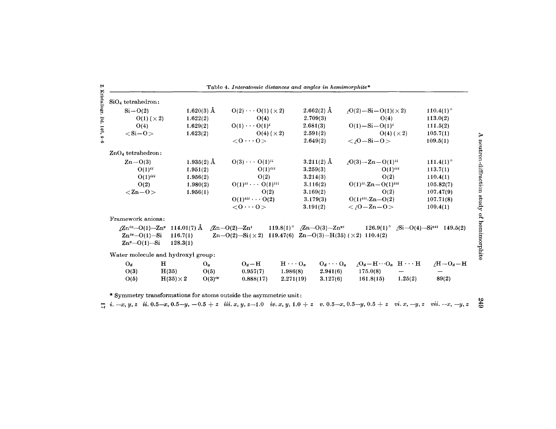|                                             |                                | Table 4. Interatomic distances and angles in hemimorphite*               |                |          |                                                                |                                                                                                                                                                |
|---------------------------------------------|--------------------------------|--------------------------------------------------------------------------|----------------|----------|----------------------------------------------------------------|----------------------------------------------------------------------------------------------------------------------------------------------------------------|
| SiO <sub>4</sub> tetrahedron:               |                                |                                                                          |                |          |                                                                |                                                                                                                                                                |
| $Si-O(2)$                                   | 1.620(3) $\AA$                 | $O(2) \cdots O(1) (\times 2)$                                            | $2.662(2)$ Å   |          | $\angle$ O(2)-Si-O(1)( $\times$ 2)                             | $110.4(1)$ °                                                                                                                                                   |
| $O(1)$ ( $\times$ 2)                        | 1.622(2)                       | O(4)                                                                     | 2.709(3)       |          | O(4)                                                           | 113.0(2)                                                                                                                                                       |
| O(4)                                        | 1.629(2)                       | $O(1) \cdot \cdot \cdot O(1)^i$                                          | 2.681(3)       |          | $O(1) - Si - O(1)^i$                                           | 111.5(2)                                                                                                                                                       |
| $\langle$ Si-O $\rangle$                    | 1.623(2)                       | $O(4) ( \times 2)$                                                       | 2.591(2)       |          | $O(4)$ ( $\times 2$ )                                          | 105.7(1)                                                                                                                                                       |
|                                             |                                | $< 0 \cdots 0$                                                           | 2.649(2)       |          | $<$ /0 - Si - 0 >                                              | 109.5(1)                                                                                                                                                       |
| ZnO <sub>4</sub> tetrahedron:               |                                |                                                                          |                |          |                                                                |                                                                                                                                                                |
| $\rm Zn - O(3)$                             | $1.935(2)$ Å                   | $O(3) \cdots O(1)^{ii}$                                                  | $3.211(2)$ Å   |          | $\angle$ O(3)-Zn-O(1) <sup>ii</sup>                            | $111.4(1)$ °                                                                                                                                                   |
| $O(1)^{ii}$                                 | 1.951(2)                       | $O(1)^{iii}$                                                             | 3.259(3)       |          | $O(1)^{iii}$                                                   | 113.7(1)                                                                                                                                                       |
| $O(1)^{iii}$                                | 1.956(2)                       | O(2)                                                                     | 3.214(3)       |          | O(2)                                                           | 110.4(1)                                                                                                                                                       |
| O(2)                                        | 1.980(2)                       | $O(1)^{ii} \cdots O(1)^{iii}$                                            | 3.116(2)       |          | $O(1)^{ii}$ -Zn- $O(1)^{iii}$                                  | 105.82(7)                                                                                                                                                      |
| $\langle Zn-0\rangle$                       | 1.956(1)                       | O(2)                                                                     | 3.169(2)       |          | O(2)                                                           | 107.47(9)                                                                                                                                                      |
|                                             |                                | $O(1)^{iii} \cdot \cdot \cdot O(2)$                                      | 3.179(3)       |          | $O(1)^{iii}$ -Zn- $O(2)$                                       | 107.71(8)                                                                                                                                                      |
|                                             |                                | $< 0 \cdots 0$                                                           | 3.191(2)       |          | $\langle 0 - Zn - 0 \rangle$                                   | 109.4(1)                                                                                                                                                       |
| Framework anions:                           |                                |                                                                          |                |          |                                                                |                                                                                                                                                                |
| $Zn^{iv}$ - O(1) - $Zn^{v}$ 114.01(7) $\AA$ |                                |                                                                          |                |          |                                                                | $\text{Zn}$ -O(2)-Zn <sup>i</sup> 119.8(1) <sup>°</sup> $\text{Zn}$ -O(3)--Zn <sup>vi</sup> 126.9(1) <sup>°</sup> $\text{Si}-$ O(4)--Si <sup>vi</sup> 149.5(2) |
| $\text{Zn}^{iv}$ - O(1) - Si 116.7(1)       |                                | $Zn-O(2) - Si(\times 2)$ 119.47(6) $Zn-O(3) - H(35) (\times 2)$ 110.4(2) |                |          |                                                                |                                                                                                                                                                |
| $\text{Zn}^v$ - O(1) - Si 128.3(1)          |                                |                                                                          |                |          |                                                                |                                                                                                                                                                |
| Water molecule and hydroxyl group:          |                                |                                                                          |                |          |                                                                |                                                                                                                                                                |
| $\mathbf H$<br>$O_d$                        | $O_a$                          | $O_d-H$                                                                  | $H \cdots 0_a$ |          | $O_d \cdots O_a$ $\mathcal{O}_d$ - $H \cdots O_a$ H $\cdots$ H | $/H - O_d - H$                                                                                                                                                 |
| O(3)<br>H(35)                               | O(5)                           | 0.957(7)                                                                 | 1.986(8)       | 2.941(6) | 175.0(8)                                                       |                                                                                                                                                                |
| O(5)                                        | $O(3)^{iv}$<br>$H(35)\times 2$ | 0.888(17)                                                                | 2.271(19)      | 3.127(6) | 161.8(15)                                                      | 1.25(2)<br>89(2)                                                                                                                                               |

\* Symmetry transformations for atoms outside the asymmetric unit:

 $\frac{1}{\sqrt{2}}$  i.  $-x, y, z$  ii.  $0.5-x, 0.5-y, -0.5+z$  iii. x, y, z-1.0 iv. x, y, 1.0 + z v.  $0.5-x, 0.5-y, 0.5+z$  vi. x,  $-y, z$  vii.  $-x, -y, z$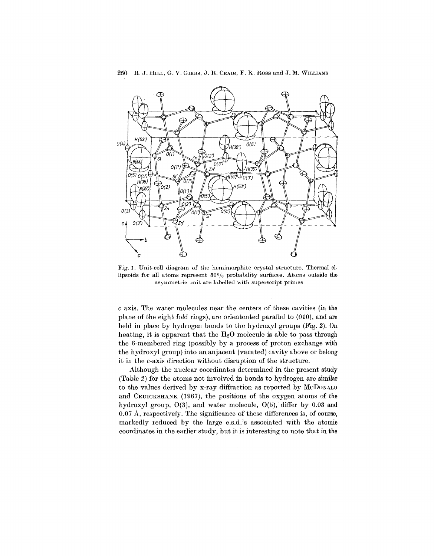

Fig. 1. Unit-cell diagram of the hemimorphite crystal structure. Thermal el. lipsoids for all atoms represent  $50\%$  probability surfaces. Atoms outside the asymmetric unit are labelled with superscript primes

c axis. The water molecules near the centers of these cavities (in the plane of the eight fold rings), are orientented parallel to (010), and are held in place by hydrogen bonds to the hydroxyl groups (Fig. 2). On heating, it is apparent that the  $H_2O$  molecule is able to pass through the 6-membered ring (possibly by a process of proton exchange with the hydroxyl group) into an anjacent (vacated) cavity above or belong it in the c-axis direction without disruption of the structure.

Although the nuclear coordinates determined in the present study (Table 2) for the atoms not involved in bonds to hydrogen are similar to the values derived by x-ray diffraction as reported by McDoNALD and CRUICKSHANK (1967), the positions of the oxygen atoms of the hydroxyl group,  $O(3)$ , and water molecule,  $O(5)$ , differ by 0.03 and *0.07 A,* respectively. The significance of these differences is, of course, markedly reduced by the large e.s.d.'s associated with the atomic coordinates in the earlier study, but it is interesting to note that in the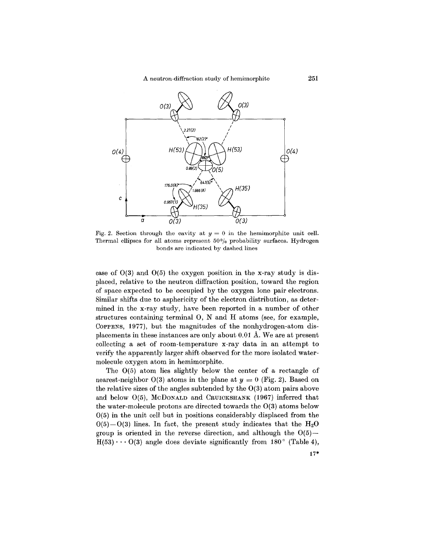

Fig. 2. Section through the cavity at  $y = 0$  in the hemimorphite unit cell. Thermal ellipses for all atoms represent  $50\%$  probability surfaces. Hydrogen bonds are indicated by dashed lines

case of  $O(3)$  and  $O(5)$  the oxygen position in the x-ray study is displaced, relative to the neutron diffraction position, toward the region of space expected to be occupied by the oxygen lone pair electrons. Similar shifts due to asphericity of the electron distribution, as determined in the x-ray study, have been reported in a number of other structures containing terminal 0, Nand H atoms (see, for example, COPPENS, 1977), but the magnitudes of the nonhydrogen-atom displacements in these instances are only about 0.01 A. We are at present collecting a set of room-temperature x-ray data in an attempt to verify the apparently larger shift observed for the more isolated watermolecule oxygen atom in hemimorphite.

The 0(5) atom lies slightly below the center of a rectangle of nearest-neighbor  $O(3)$  atoms in the plane at  $y = 0$  (Fig. 2). Based on the relative sizes of the angles subtended by the  $O(3)$  atom pairs above and below  $O(5)$ , McDoNALD and CRUICKSHANK (1967) inferred that the water-molecule protons are directed towards the 0(3) atoms below 0(5) in the unit cell but in positions considerably displaced from the  $0(5)-0(3)$  lines. In fact, the present study indicates that the H<sub>2</sub>O group is oriented in the reverse direction, and although the  $O(5)$ - $H(53) \cdots O(3)$  angle does deviate significantly from 180° (Table 4),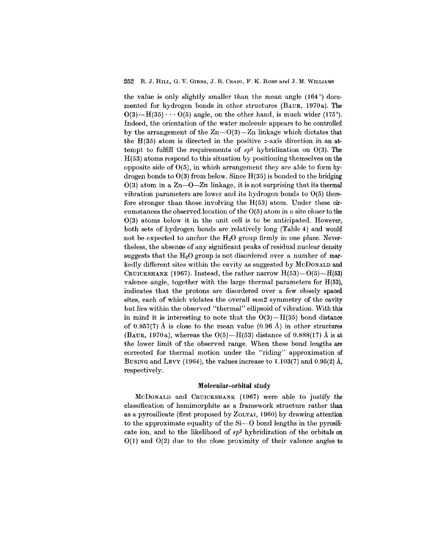the value is only slightly smaller than the mean angle (164°) documented for hydrogen bonds in other structures (BAUR, 1970a). The  $O(3)$ -H(35)  $\cdots$  O(5) angle, on the other hand, is much wider (175<sup>o</sup>). Indeed, the orientation of the water molecule appears to be controlled by the arrangement of the  $Zn-O(3)-Zn$  linkage which dictates that the H(35) atom is directed in the positive z-axis direction in an attempt to fulfill the requirements of  $sp^2$  hybridization on  $O(3)$ . The H(53) atoms respond to this situation by positioning themselves on the opposite side of  $O(5)$ , in which arrangement they are able to form hydrogen bonds to  $O(3)$  from below. Since  $H(35)$  is bonded to the bridging  $O(3)$  atom in a Zn- $O$ -Zn linkage, it is not surprising that its thermal vibration parameters are lower and its hydrogen bonds to 0(5) therefore stronger than those involving the H(53) atom. Under these circumstances the observed location of the O(5) atom in a site closer to the  $O(3)$  atoms below it in the unit cell is to be anticipated. However, both sets of hydrogen bonds are relatively long (Table 4) and would not be expected to anchor the  $H_2O$  group firmly in one place. Nevertheless, the absence of any significant peaks of residual nuclear density suggests that the  $H_2O$  group is not disordered over a number of markedly different sites within the cavity as suggested by McDoNALD and CRUICKSHANK (1967). Instead, the rather narrow  $H(53)$ --O(5)- $H(53)$ valence angle, together with the large thermal parameters for H(53), indicates that the protons are disordered over a few closely spaced sites, each of which violates the overall *mm2* symmetry of the cavity but lies within the observed "thermal" ellipsoid of vibration. With this in mind it is interesting to note that the  $O(3)-H(35)$  bond distance of 0.957(7) Å is close to the mean value  $(0.96 \text{ Å})$  in other structures (BAUR, 1970a), whereas the  $O(5)-H(53)$  distance of 0.888(17) Å is at the lower limit of the observed range. When these bond lengths are corrected for thermal motion under the "riding" approximation of BUSING and LEVY (1964), the values increase to 1.103(7) and 0.95(2)  $\AA$ , respectively.

## Molecular-orbital study

McDoNALD and CRUICKSHANK (1967) were able to justify the classification of hemimorphite as a framework structure rather than as a pyrosilicate (first proposed by ZOLTAI, 1960) by drawing attention to the approximate equality of the  $Si-O$  bond lengths in the pyrosilicate ion, and to the likelihood of *Sp2* hybridization of the orbitals on  $O(1)$  and  $O(2)$  due to the close proximity of their valence angles to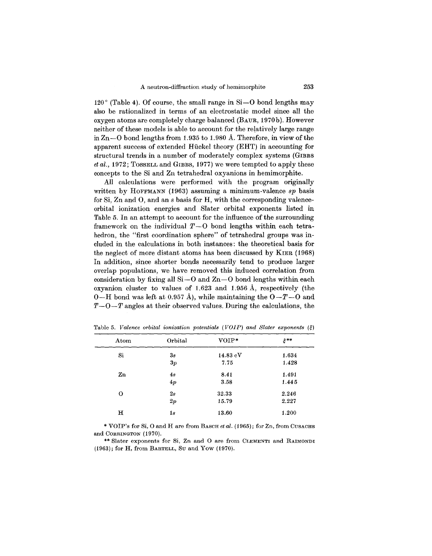$120^{\circ}$  (Table 4). Of course, the small range in Si-O bond lengths may also be rationalized in terms of an electrostatic model since all the oxygen atoms are completely charge balanced (BAUR, 1970 b). However neither of these models is able to account for the relatively large range in  $\text{Zn}-\text{O}$  bond lengths from 1.935 to 1.980 Å. Therefore, in view of the apparent success of extended Huckel theory (EHT) in accounting for structural trends in a number of moderately complex systems (GIBBS *et al.,* 1972; TOSSELLand GIBBS, 1977) we were tempted to apply these concepts to the Si and Zn tetrahedral oxyanions in hemimorphite.

All calculations were performed with the program originally written by HOFFMANN (1963) assuming a minimum-valence *8P* basis for Si, Zn and 0, and an 8 basis for H, with the corresponding valenceorbital ionization energies and Slater orbital exponents listed in Table 5. In an attempt to account for the influence of the surrounding framework on the individual *T-O* bond lengths within each tetrahedron, the "first coordination sphere" of tetrahedral groups was included in the calculations in both instances: the theoretical basis for the neglect of more distant atoms has been discussed by KIER (1968) In addition, since shorter bonds necessarily tend to produce larger overlap populations, we have removed this induced correlation from consideration by fixing all  $Si-O$  and  $Zn-O$  bond lengths within each oxyanion cluster to values of 1.623 and 1.956 A, respectively (the  $0-H$  bond was left at 0.957 Å), while maintaining the  $0-T-0$  and  $T-O-T$  angles at their observed values. During the calculations, the

| Atom | Orbital | $VOIP*$           | $\xi^{**}$ |
|------|---------|-------------------|------------|
| Si   | 3s      | $14.83\text{ eV}$ | 1.634      |
|      | 3p      | 7.75              | 1.428      |
| Zn   | 4s      | 8.41              | 1.491      |
|      | 4p      | 3.58              | 1.445      |
| 0    | 2s      | 32.33             | 2.246      |
|      | 2p      | 15.79             | 2.227      |
| н    | 1s      | 13.60             | 1.200      |

Table 5. *Valence orbital ionization potential8 (VOIP) and Slater exponent8* (;)

and CORRINGTON (1970) VOIP's for Si, 0 and H are from BASCH *et al.* (1965); for Zn, from CUSACHS

\*\* Slater exponents for Si, Zn and <sup>0</sup> are from CLEMENTI and RAIMONDI (1963); for H, from BARTELL, Su and Yow (1970).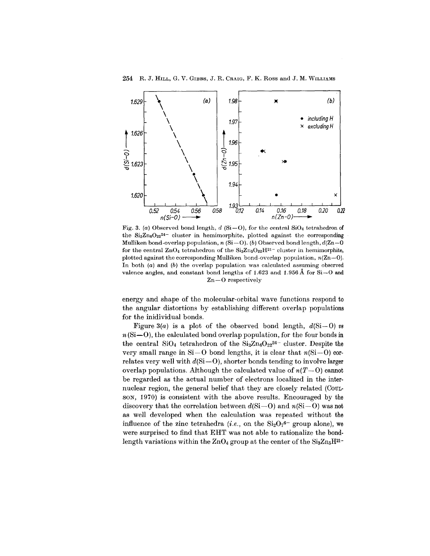254 R. J. HILL, G. V. GIBBS, J. R. CRAIG, F. K. Ross and J. M. WILLIAMS



Fig. 3. (a) Observed bond length,  $d$  (Si-O), for the central SiO<sub>4</sub> tetrahedron of the  $Si<sub>2</sub>Zn<sub>6</sub>O<sub>22</sub><sup>24-</sup> cluster in hemimorphic, plotted against the corresponding$ Mulliken bond-overlap population,  $n(S_i-0)$ . *(b)* Observed bond length,  $d(Z_n-0)$ for the central  $\rm ZnO_4$  tetrahedron of the  $\rm Si_3Zn_5O_{22}H^{21-}$  cluster in hemimorphite, plotted against the corresponding Mulliken bond-overlap population, *n(Zn-O).* In both *(a)* and *(b)* the overlap population was calculated assuming observed valence angles, and constant bond lengths of 1.623 and 1.956  $\AA$  for Si-O and Zn-O respectively

energy and shape of the molecular-orbital wave functions respond to the angular distortions by establishing different overlap populations for the inidividual bonds.

Figure  $3(a)$  is a plot of the observed bond length,  $d(S_i-0)$  *va*  $n(Si-O)$ , the calculated bond overlap population, for the four bonds in the central  $SiO_4$  tetrahedron of the  $Si_2Zn_6O_{22}^{24-}$  cluster. Despite the very small range in  $Si-O$  bond lengths, it is clear that  $n(Si-O)$  correlates very well with  $d(Si-O)$ , shorter bonds tending to involve larger overlap populations. Although the calculated value of  $n(T-0)$  cannot be regarded as the actual number of electrons localized in the internuclear region, the general belief that they are closely related (COUL-SON, 1970) is consistent with the above results. Encouraged by the discovery that the correlation between  $d(S_i-O)$  and  $n(S_i-O)$  was not as well developed when the calculation was repeated without the influence of the zinc tetrahedra *(i.e.,* on the  $\text{Si}_2\text{O}_7$ <sup>6-</sup> group alone), we were surprised to find that EHT was not able to rationalize the bondlength variations within the  $ZnO_4$  group at the center of the  $Si_3Zn_5H^{21-}$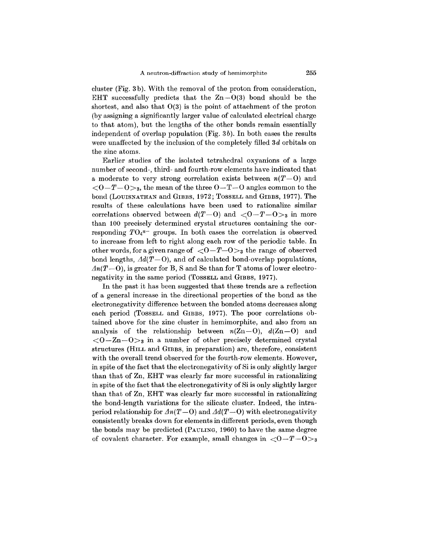cluster (Fig. 3b). With the removal of the proton from consideration, EHT successfully predicts that the  $Zn-O(3)$  bond should be the shortest, and also that  $O(3)$  is the point of attachment of the proton (by assigning a significantly larger value of calculated electrical charge to that atom), but the lengths of the other bonds remain essentially independent of overlap population (Fig. *3b).* In both cases the results were unaffected by the inclusion of the completely filled *3d* orbitals on the zinc atoms.

Earlier studies of the isolated tetrahedral oxyanions of a large number of second-, third- and fourth-row elements have indicated that a moderate to very strong correlation exists between  $n(T-0)$  and  $\langle 0-T-0\rangle$ <sub>3</sub>, the mean of the three  $0-T-0$  angles common to the bond (LOUISNATHAN and GIBBS, 1972; TOSSELL and GIBBS, 1977). The results of these calculations have been used to rationalize similar correlations observed between  $d(T-0)$  and  $\langle 0-T-0\rangle$ <sub>3</sub> in more than 100 precisely determined crystal structures containing the corresponding *T04n-* groups. In both cases the correlation is observed to increase from left to right along each row of the periodic table. In other words, for a given range of  $\langle 0 - T - 0 \rangle$  the range of observed bond lengths,  $\Delta d(T-0)$ , and of calculated bond-overlap populations,  $\Delta n(T-0)$ , is greater for B, S and Se than for T atoms of lower electronegativity in the same period (TossELL and GIBBS, 1977).

In the past it has been suggested that these trends are a reflection of a general increase in the directional properties of the bond as the electronegativity difference between the bonded atoms decreases along each period (TOSSELL and GIBBS, 1977). The poor correlations obtained above for the zinc cluster in hemimorphite, and also from an analysis of the relationship between  $n(\text{Zn}-\text{O})$ ,  $d(\text{Zn}-\text{O})$  and  $<$ 0 $-$ Zn $-$ O $>$ <sub>3</sub> in a number of other precisely determined crystal structures (HILL and GIBBS, in preparation) are, therefore, consistent with the overall trend observed for the fourth-row elements. However, in spite of the fact that the electronegativity of Si is only slightly larger than that of Zn, EHT was clearly far more successful in rationalizing in spite of the fact that the electronegativity of Si is only slightly larger than that of Zn, EHT was clearly far more successful in rationalizing the bond-length variations for the silicate cluster. Indeed, the intraperiod relationship for  $\Delta n(T-0)$  and  $\Delta d(T-0)$  with electronegativity consistently breaks down for elements in different periods, even though the bonds may be predicted (PAULING, 1960) to have the same degree of covalent character. For example, small changes in *<O-T-O>a*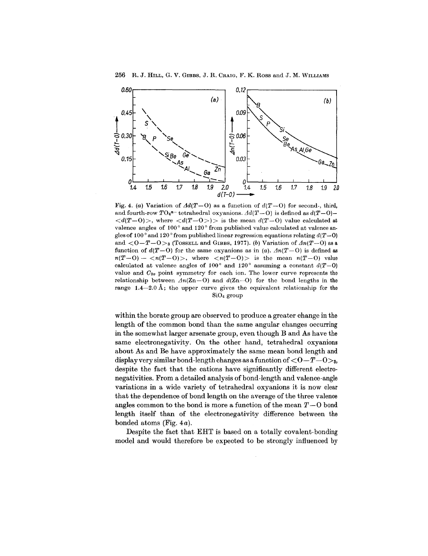256 R. J. HILL, G. V. GIBBS, J. R. CRAIG, F. K. Ross and J. M. WILLIAMS



Fig. 4. *(a)* Variation of  $Ad(T-0)$  as a function of  $d(T-0)$  for second-, third, and fourth-row  $TQ_4^{n-}$  tetrahedral oxyanions.  $\Delta d(T-0)$  is defined as  $d(T-0)$ - $\langle d(T-0) \rangle$ , where  $\langle d(T-0) \rangle$  is the mean  $d(T-0)$  value calculated at valence angles of  $100^{\circ}$  and  $120^{\circ}$  from published value calculated at valence angles of 100<sup>°</sup> and 120<sup>°</sup> from published linear regression equations relating  $d(T-0)$ and  $\langle 0-T-0\rangle_3$  (Tossell and GIBBS, 1977). *(b)* Variation of  $\Delta n(T-0)$  as a function of  $d(T-0)$  for the same oxyanions as in *(a)*.  $\Delta n(T-0)$  is defined as  $n(T-0) - \langle n(T-0) \rangle$ , where  $\langle n(T-0) \rangle$  is the mean  $n(T-0)$  value calculated at valence angles of  $100^{\circ}$  and  $120^{\circ}$  assuming a constant  $d(T-0)$ value and *Oav* point symmetry for each ion. The lower curve represents the relationship between  $\Delta n(Zn-0)$  and  $d(Zn-0)$  for the bond lengths in the range 1.4-2.0 Å; the upper curve gives the equivalent relationship for the  $SiO<sub>4</sub>$  group

within the borate group are observed to produce a greater change in the length of the common bond than the same angular changes occurring in the somewhat larger arsenate group, even though B and As have the same electronegativity. On the other hand, tetrahedral oxyanions about As and Be have approximately the same mean bond length and display very similar bond-length changes as a function of  $<$ 0 $-$ *T* $-$ 0 $>$ <sub>3</sub>, despite the fact that the cations have significantly different electronegativities. From a detailed analysis of bond-length and valence-angle variations in a wide variety of tetrahedral oxyanions it is now clear that the dependence of bond length on the average of the three valence angles common to the bond is more a function of the mean  $T-0$  bond length itself than of the electronegativity difference between the bonded atoms (Fig. *4a).*

Despite the fact that EHT is based on a totally covalent-bonding model and would therefore be expected to be strongly influenced by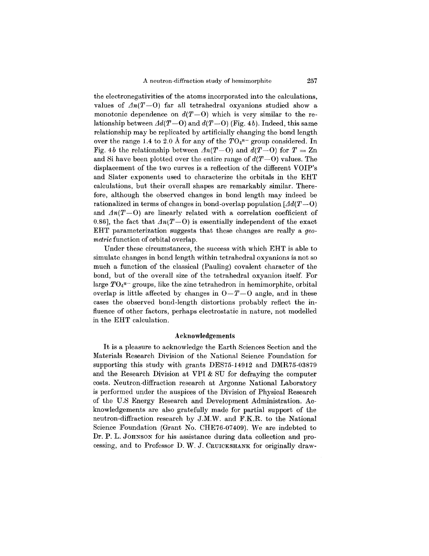the electronegativities of the atoms incorporated into the calculations, values of  $\Delta n(T-0)$  far all tetrahedral oxyanions studied show a monotonic dependence on  $d(T-0)$  which is very similar to the relationship between  $\mathcal{A}d(T-0)$  and  $d(T-0)$  (Fig. 4b). Indeed, this same relationship may be replicated by artificially changing the bond length over the range 1.4 to 2.0 A for any of the *T04n-* group considered. In Fig. 4b the relationship between  $\Delta n(T-0)$  and  $d(T-0)$  for  $T = Zn$ and Si have been plotted over the entire range of  $d(T-0)$  values. The displacement of the two curves is a reflection of the different VOIP's and Slater exponents used to characterize the orbitals in the EHT calculations, but their overall shapes are remarkably similar. Therefore, although the observed changes in bond length may indeed be rationalized in terms of changes in bond-overlap population  $\lceil \Delta d(T-0) \rceil$ and  $\Delta n(T-0)$  are linearly related with a correlation coefficient of 0.86], the fact that  $\Delta n(T-0)$  is essentially independent of the exact EHT parameterization suggests that these changes are really a *geometric* function of orbital overlap.

Under these circumstances, the success with which EHT is able to simulate changes in bond length within tetrahedral oxyanions is not so much a function of the classical (Pauling) covalent character of the bond, but of the overall size of the tetrahedral oxyanion itself. For large  $T O_4^{n-}$  groups, like the zinc tetrahedron in hemimorphite, orbital overlap is little affected by changes in  $O-T-O$  angle, and in these cases the observed bond-length distortions probably reflect the influence of other factors, perhaps electrostatic in nature, not modelled in the EHT calculation.

## Acknowledgements

It is a pleasure to acknowledge the Earth Sciences Section and the Materials Research Division of the National Science Foundation for supporting this study with grants DES75-14912 and DMR75-03879 and the Research Division at VPI & SU for defraying the computer costs. Neutron-diffraction research at Argonne National Laboratory is performed under the auspices of the Division of Physical Research of the U.S Energy Research and Development Administration. Acknowledgements are also gratefully made for partial support of the neutron-diffraction research by J.M.W. and F.K.R. to the National Science Foundation (Grant No. CHE76-07409). We are indebted to Dr. P. L. JOHNSON for his assistance during data collection and processing, and to Professor D. W. J. CRUICKSHANK for originally draw-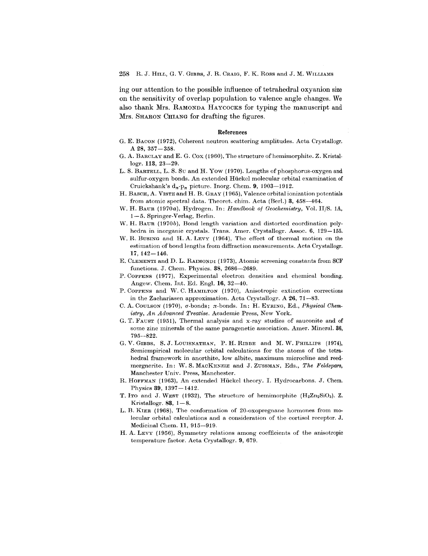ing our attention to the possible influence of tetrahedral oxyanion size on the sensitivity of overlap population to valence angle changes. We also thank Mrs. RAMONDA HAYCOCKS for typing the manuscript and Mrs. SHARON CHIANG for drafting the figures.

### References

- G. E. BACON (1972), Coherent neutron scattering amplitudes. Acta Crystallogr.  $A\ 28,\ 357\!-\!358$
- G. A. BARCLAY and E. G. Cox (1960), The structure of hemimorphite. Z. Kristal. logr. 113, 23-29.
- L. S. BARTELL, L. S. Su and H. Yow (1970). Lengths of phosphorus-oxygen and sulfur-oxygen bonds. An extended Hückel molecular orbital examination of Cruickshank's  $d_{\pi}$ -p<sub> $_{\pi}$ </sub> picture. Inorg. Chem. 9, 1903-1912.
- H. BASCH, A. VISTE and H. B. GRAY (1965), Valence orbital ionization potentials from atomic spectral data. Theoret. chim. Acta (Berl.) 3, 458-464.
- W. H. BAUR *(1970a),* Hydrogen. In: *Handbook of Geochemistry,* Vol. II/S. lA, 1- 5. Springer-Verlag, Berlin.
- W. H. BAUR *(1970b),* Bond length variation and distorted coordination polyhedra in inorganic crystals. Trans. Amer. Crystallogr. Assoc. 6, 129-155.
- W. R. BUSING and H. A. LEVY (1964), The effect of thermal motion on the estimation of bond lengths from diffraction measurements. Acta Crystallogr.  $17,142-146.$
- E. CLEMENTI and D. L. RAIMONDI (1973), Atomic screening constants from SCF functions. J. Chern. Physics. 38, 2686-2689.
- P. COPPENS (1977), Experimental electron densities and chemical bonding. Angew. Chern. Int. Ed. Engl. 16, 32-40.
- P. COPPENS and W. C. HAMILTON (1970), Anisotropic extinction corrections in the Zachariasen approximation. Acta Crystallogr. A 26, 71-83.
- C. A. COULSON (1970), a-bonds; n-bonds. In: H. EYRING, Ed., *Physical Chem. istry, An Advanced Treatise.* Academic Press, New York.
- G. T. FAUST (1951), Thermal analysis and x-ray studies of sauconite and of some zinc minerals of the same paragenetic association. Amer. Mineral. 36, 795-822.
- G. V. GIBBS, S. J. LOUISNATHAN, P. H. RIEBE and M. W. PHILLIPS (1974), Semiempirical molecular orbital calculations for the atoms of the tetra. hedral framework in anorthite, low albite, maximum microcline and reedmergnerite. In: W. S. MACKENZIE and J. ZUSSMAN, Eds., *The Feldspars,* . Manchester Univ. Press, Manchester.
- R. HOFFMAN (1963), An extended Hückel theory. I. Hydrocarbons. J. Chem. Physics  $39, 1397 - 1412$ .
- T. Ito and J. WEST (1932), The structure of hemimorphite  $(H_2Zn_2SiO_5)$ . Z. Kristallogr.  $83, 1-8.$
- L. B. KIER (1968), The conformation of 20-oxopregnane hormones from mo. lecular orbital calculations and a consideration of the cortisol receptor. J. Medicinal Chern. 11, 915-919.
- H. A. LEVY (1956), Symmetry relations among coefficients of the anisotropic temperature factor. Acta Crystallogr. 9, 679.